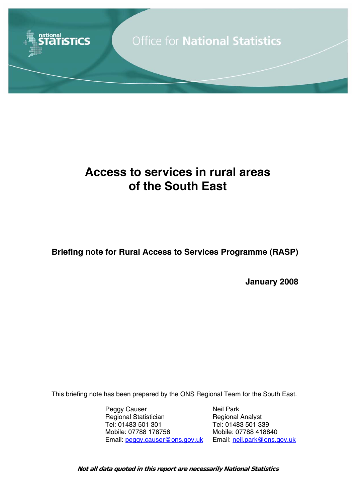

# **Access to services in rural areas of the South East**

**Briefing note for Rural Access to Services Programme (RASP)** 

**January 2008** 

This briefing note has been prepared by the ONS Regional Team for the South East.

Peggy Causer Neil Park Regional Statistician Regional Analyst Tel: 01483 501 301 Tel: 01483 501 339 Mobile: 07788 178756 Mobile: 07788 418840 Email: peggy.causer@ons.gov.uk Email: neil.park@ons.gov.uk

**Not all data quoted in this report are necessarily National Statistics**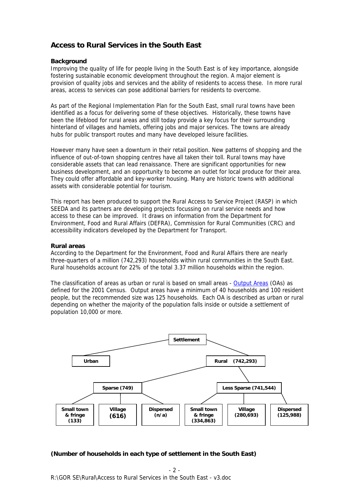## **Access to Rural Services in the South East**

#### **Background**

Improving the quality of life for people living in the South East is of key importance, alongside fostering sustainable economic development throughout the region. A major element is provision of quality jobs and services and the ability of residents to access these. In more rural areas, access to services can pose additional barriers for residents to overcome.

As part of the Regional Implementation Plan for the South East, small rural towns have been identified as a focus for delivering some of these objectives. Historically, these towns have been the lifeblood for rural areas and still today provide a key focus for their surrounding hinterland of villages and hamlets, offering jobs and major services. The towns are already hubs for public transport routes and many have developed leisure facilities.

However many have seen a downturn in their retail position. New patterns of shopping and the influence of out-of-town shopping centres have all taken their toll. Rural towns may have considerable assets that can lead renaissance. There are significant opportunities for new business development, and an opportunity to become an outlet for local produce for their area. They could offer affordable and key-worker housing. Many are historic towns with additional assets with considerable potential for tourism.

This report has been produced to support the Rural Access to Service Project (RASP) in which SEEDA and its partners are developing projects focussing on rural service needs and how access to these can be improved. It draws on information from the Department for Environment, Food and Rural Affairs (DEFRA), Commission for Rural Communities (CRC) and accessibility indicators developed by the Department for Transport.

#### **Rural areas**

According to the Department for the Environment, Food and Rural Affairs there are nearly three-quarters of a million (742,293) households within rural communities in the South East. Rural households account for 22% of the total 3.37 million households within the region.

The classification of areas as urban or rural is based on small areas - Output Areas (OAs) as defined for the 2001 Census. Output areas have a minimum of 40 households and 100 resident people, but the recommended size was 125 households. Each OA is described as urban or rural depending on whether the majority of the population falls inside or outside a settlement of population 10,000 or more.



## **(Number of households in each type of settlement in the South East)**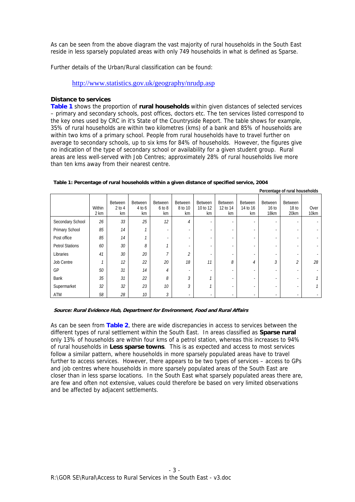As can be seen from the above diagram the vast majority of rural households in the South East reside in less sparsely populated areas with only 749 households in what is defined as Sparse.

Further details of the Urban/Rural classification can be found:

http://www.statistics.gov.uk/geography/nrudp.asp

#### **Distance to services**

**Table 1** shows the proportion of **rural households** within given distances of selected services – primary and secondary schools, post offices, doctors etc. The ten services listed correspond to the key ones used by CRC in it's State of the Countryside Report. The table shows for example, 35% of rural households are within two kilometres (kms) of a bank and 85% of households are within two kms of a primary school. People from rural households have to travel further on average to secondary schools, up to six kms for 84% of households. However, the figures give no indication of the type of secondary school or availability for a given student group. Rural areas are less well-served with Job Centres; approximately 28% of rural households live more than ten kms away from their nearest centre.

|                        | Within<br>2 km | Between<br>$2$ to $4$<br>km | Between<br>4 to 6<br>km | Between<br>6 to 8<br>km | Between<br>8 to 10<br>km     | Between<br>10 to 12<br>km | Between<br>12 to 14<br>km | Between<br>14 to 16<br>km | Between<br>16 <sub>to</sub><br>18km | Between<br>18 <sub>to</sub><br>20km | Over<br>10km |
|------------------------|----------------|-----------------------------|-------------------------|-------------------------|------------------------------|---------------------------|---------------------------|---------------------------|-------------------------------------|-------------------------------------|--------------|
| Secondary School       | 26             | 33                          | 25                      | 12                      | 4                            | ٠                         | $\sim$                    | $\overline{\phantom{a}}$  |                                     | ۰                                   |              |
| Primary School         | 85             | 14                          |                         | ٠                       | ٠                            |                           |                           |                           |                                     |                                     |              |
| Post office            | 85             | 14                          |                         | ٠                       | ٠                            | ٠                         | ۰                         | ۰.                        | -                                   | $\overline{\phantom{a}}$            |              |
| <b>Petrol Stations</b> | 60             | 30                          | 8                       |                         | ٠                            |                           |                           |                           |                                     |                                     |              |
| Libraries              | 41             | 30                          | 20                      | ⇁                       | $\overline{2}$               | ٠                         | $\overline{\phantom{a}}$  |                           | ٠                                   |                                     |              |
| Job Centre             |                | 12                          | 22                      | 20                      | 18                           | 11                        | 8                         | 4                         | 3                                   | $\mathcal{L}_{\mathcal{L}}$         | 28           |
| GP                     | 50             | 31                          | 14                      | $\overline{4}$          | $\qquad \qquad \blacksquare$ |                           | $\overline{\phantom{a}}$  |                           | -                                   | -                                   |              |
| Bank                   | 35             | 31                          | 22                      | 8                       | 3                            |                           | ٠                         |                           |                                     | -                                   |              |
| Supermarket            | 32             | 32                          | 23                      | 10                      | 3                            |                           | ٠                         |                           |                                     |                                     |              |
| ATM                    | 58             | 28                          | 10                      | 3                       | ٠                            | ٠                         | $\overline{\phantom{a}}$  |                           |                                     |                                     |              |

**Percentage of rural households** 

#### **Table 1: Percentage of rural households within a given distance of specified service, 2004**

#### **Source: Rural Evidence Hub, Department for Environment, Food and Rural Affairs**

As can be seen from **Table 2**, there are wide discrepancies in access to services between the different types of rural settlement within the South East. In areas classified as **Sparse rural** only 13% of households are within four kms of a petrol station, whereas this increases to 94% of rural households in **Less sparse towns**. This is as expected and access to most services follow a similar pattern, where households in more sparsely populated areas have to travel further to access services. However, there appears to be two types of services – access to GPs and job centres where households in more sparsely populated areas of the South East are closer than in less sparse locations. In the South East what sparsely populated areas there are, are few and often not extensive, values could therefore be based on very limited observations and be affected by adjacent settlements.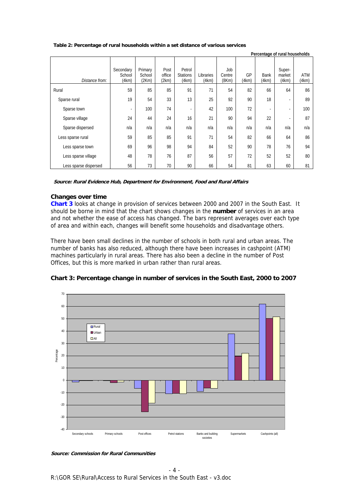| Table 2: Percentage of rural households within a set distance of various services |
|-----------------------------------------------------------------------------------|
|-----------------------------------------------------------------------------------|

|                       |                              |                            |                         |                                    |                    |                        |             | Percentage of rural households |                           |                     |
|-----------------------|------------------------------|----------------------------|-------------------------|------------------------------------|--------------------|------------------------|-------------|--------------------------------|---------------------------|---------------------|
| Distance from:        | Secondary<br>School<br>(4km) | Primary<br>School<br>(2Km) | Post<br>office<br>(2km) | Petrol<br><b>Stations</b><br>(4km) | Libraries<br>(4km) | Job<br>Centre<br>(8Km) | GP<br>(4km) | Bank<br>(4km)                  | Super-<br>market<br>(4km) | <b>ATM</b><br>(4km) |
| Rural                 | 59                           | 85                         | 85                      | 91                                 | 71                 | 54                     | 82          | 66                             | 64                        | 86                  |
| Sparse rural          | 19                           | 54                         | 33                      | 13                                 | 25                 | 92                     | 90          | 18                             | $\overline{\phantom{a}}$  | 89                  |
| Sparse town           | $\overline{\phantom{a}}$     | 100                        | 74                      | ٠                                  | 42                 | 100                    | 72          | $\overline{\phantom{a}}$       | ٠                         | 100                 |
| Sparse village        | 24                           | 44                         | 24                      | 16                                 | 21                 | 90                     | 94          | 22                             | ٠                         | 87                  |
| Sparse dispersed      | n/a                          | n/a                        | n/a                     | n/a                                | n/a                | n/a                    | n/a         | n/a                            | n/a                       | n/a                 |
| Less sparse rural     | 59                           | 85                         | 85                      | 91                                 | 71                 | 54                     | 82          | 66                             | 64                        | 86                  |
| Less sparse town      | 69                           | 96                         | 98                      | 94                                 | 84                 | 52                     | 90          | 78                             | 76                        | 94                  |
| Less sparse village   | 48                           | 78                         | 76                      | 87                                 | 56                 | 57                     | 72          | 52                             | 52                        | 80                  |
| Less sparse dispersed | 56                           | 73                         | 70                      | 90                                 | 66                 | 54                     | 81          | 63                             | 60                        | 81                  |

**Source: Rural Evidence Hub, Department for Environment, Food and Rural Affairs** 

#### **Changes over time**

**Chart 3** looks at change in provision of services between 2000 and 2007 in the South East. It should be borne in mind that the chart shows changes in the **number** of services in an area and not whether the ease of access has changed. The bars represent averages over each type of area and within each, changes will benefit some households and disadvantage others.

There have been small declines in the number of schools in both rural and urban areas. The number of banks has also reduced, although there have been increases in cashpoint (ATM) machines particularly in rural areas. There has also been a decline in the number of Post Offices, but this is more marked in urban rather than rural areas.





**Source: Commission for Rural Communities**

R:\GOR SE\Rural\Access to Rural Services in the South East - v3.doc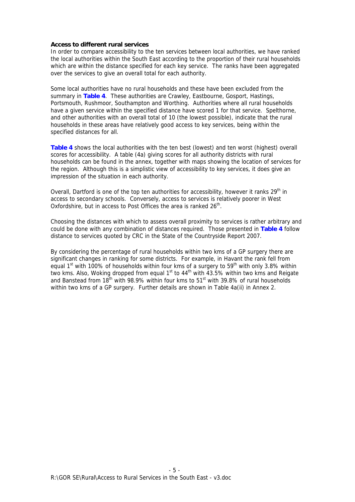#### **Access to different rural services**

In order to compare accessibility to the ten services between local authorities, we have ranked the local authorities within the South East according to the proportion of their rural households which are within the distance specified for each key service. The ranks have been aggregated over the services to give an overall total for each authority.

Some local authorities have no rural households and these have been excluded from the summary in **Table 4**. These authorities are Crawley, Eastbourne, Gosport, Hastings, Portsmouth, Rushmoor, Southampton and Worthing. Authorities where all rural households have a given service within the specified distance have scored 1 for that service. Spelthorne, and other authorities with an overall total of 10 (the lowest possible), indicate that the rural households in these areas have relatively good access to key services, being within the specified distances for all.

**Table 4** shows the local authorities with the ten best (lowest) and ten worst (highest) overall scores for accessibility. A table (4a) giving scores for all authority districts with rural households can be found in the annex, together with maps showing the location of services for the region. Although this is a simplistic view of accessibility to key services, it does give an impression of the situation in each authority.

Overall, Dartford is one of the top ten authorities for accessibility, however it ranks 29<sup>th</sup> in access to secondary schools. Conversely, access to services is relatively poorer in West Oxfordshire, but in access to Post Offices the area is ranked 26<sup>th</sup>.

Choosing the distances with which to assess overall proximity to services is rather arbitrary and could be done with any combination of distances required. Those presented in **Table 4** follow distance to services quoted by CRC in the State of the Countryside Report 2007.

By considering the percentage of rural households within two kms of a GP surgery there are significant changes in ranking for some districts. For example, in Havant the rank fell from equal 1st with 100% of households within four kms of a surgery to  $59<sup>th</sup>$  with only 3.8% within two kms. Also, Woking dropped from equal 1<sup>st</sup> to  $44<sup>th</sup>$  with  $43.5%$  within two kms and Reigate and Banstead from  $18^{th}$  with 98.9% within four kms to  $51^{st}$  with 39.8% of rural households within two kms of a GP surgery. Further details are shown in Table 4a(ii) in Annex 2.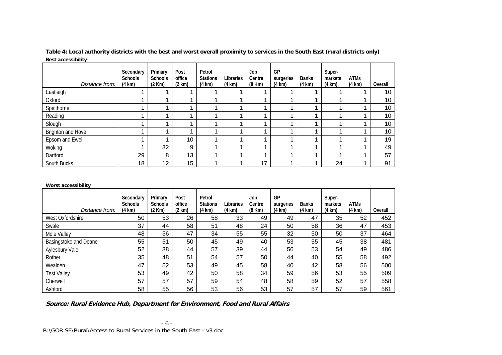| Distance from:    | Secondary<br><b>Schools</b><br>$(4 \text{ km})$ | Primary<br>Schools<br>(2 Km) | Post<br>office<br>(2 km) | Petrol<br><b>Stations</b><br>$(4 \text{ km})$ | Libraries<br>$(4 \text{ km})$ | Job<br>Centre<br>$(8$ Km $)$ | GP<br>surgeries<br>$(4 \text{ km})$ | <b>Banks</b><br>$(4 \text{ km})$ | Super-<br>markets<br>(4 km) | <b>ATMs</b><br>(4 km) | Overall         |
|-------------------|-------------------------------------------------|------------------------------|--------------------------|-----------------------------------------------|-------------------------------|------------------------------|-------------------------------------|----------------------------------|-----------------------------|-----------------------|-----------------|
| Eastleigh         |                                                 |                              |                          |                                               |                               |                              |                                     |                                  |                             |                       | 10 <sup>°</sup> |
| Oxford            |                                                 |                              |                          |                                               |                               |                              |                                     |                                  |                             |                       | 10              |
| Spelthorne        |                                                 |                              |                          |                                               |                               |                              |                                     |                                  |                             |                       | 10 <sub>1</sub> |
| Reading           |                                                 |                              |                          |                                               |                               |                              |                                     |                                  |                             |                       | 10              |
| Slough            |                                                 |                              |                          |                                               |                               |                              |                                     |                                  |                             |                       | 10              |
| Brighton and Hove |                                                 |                              |                          |                                               |                               |                              |                                     |                                  |                             |                       | 10              |
| Epsom and Ewell   |                                                 |                              | 10                       |                                               |                               |                              |                                     |                                  |                             |                       | 19              |
| Woking            |                                                 | 32                           | 9                        |                                               |                               |                              |                                     |                                  |                             |                       | 49              |
| Dartford          | 29                                              | 8                            | 13                       |                                               |                               |                              |                                     |                                  |                             |                       | 57              |
| South Bucks       | 18                                              | 12                           | 15                       |                                               |                               | 17                           |                                     |                                  | 24                          |                       | 91              |

**Table 4: Local authority districts with the best and worst overall proximity to services in the South East (rural districts only) Best accessibility** 

#### **Worst accessibility**

| Distance from:               | Secondary<br><b>Schools</b><br>$(4 \text{ km})$ | Primary<br><b>Schools</b><br>$(2$ Km $)$ | Post<br>office<br>(2 km) | Petrol<br><b>Stations</b><br>$(4 \text{ km})$ | Libraries<br>$(4 \text{ km})$ | Job<br>Centre<br>$(8$ Km $)$ | GP<br>surgeries<br>$(4 \text{ km})$ | <b>Banks</b><br>$(4 \text{ km})$ | Super-<br>markets<br>$(4 \text{ km})$ | <b>ATMs</b><br>$(4 \text{ km})$ | Overall |
|------------------------------|-------------------------------------------------|------------------------------------------|--------------------------|-----------------------------------------------|-------------------------------|------------------------------|-------------------------------------|----------------------------------|---------------------------------------|---------------------------------|---------|
| West Oxfordshire             | 50                                              | 53                                       | 26                       | 58                                            | 33                            | 49                           | 49                                  | 47                               | 35                                    | 52                              | 452     |
| Swale                        | 37                                              | 44                                       | 58                       | 51                                            | 48                            | 24                           | 50                                  | 58                               | 36                                    | 47                              | 453     |
| Mole Valley                  | 48                                              | 56                                       | 47                       | 34                                            | 55                            | 55                           | 32                                  | 50                               | 50                                    | 37                              | 464     |
| <b>Basingstoke and Deane</b> | 55                                              | 51                                       | 50                       | 45                                            | 49                            | 40                           | 53                                  | 55                               | 45                                    | 38                              | 481     |
| Aylesbury Vale               | 52                                              | 38                                       | 44                       | 57                                            | 39                            | 44                           | 56                                  | 53                               | 54                                    | 49                              | 486     |
| Rother                       | 35                                              | 48                                       | 51                       | 54                                            | 57                            | 50                           | 44                                  | 40                               | 55                                    | 58                              | 492     |
| Wealden                      | 47                                              | 52                                       | 53                       | 49                                            | 45                            | 58                           | 40                                  | 42                               | 58                                    | 56                              | 500     |
| <b>Test Valley</b>           | 53                                              | 49                                       | 42                       | 50                                            | 58                            | 34                           | 59                                  | 56                               | 53                                    | 55                              | 509     |
| Cherwell                     | 57                                              | 57                                       | 57                       | 59                                            | 54                            | 48                           | 58                                  | 59                               | 52                                    | 57                              | 558     |
| Ashford                      | 58                                              | 55                                       | 56                       | 53                                            | 56                            | 53                           | 57                                  | 57                               | 57                                    | 59                              | 561     |

**Source: Rural Evidence Hub, Department for Environment, Food and Rural Affairs**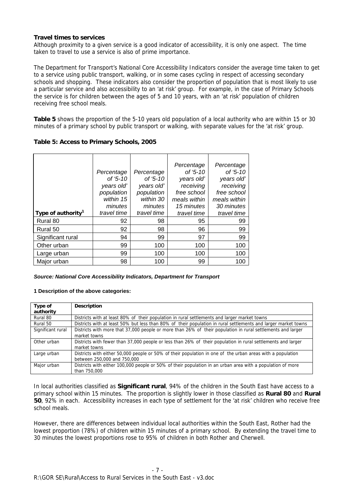#### **Travel times to services**

Although proximity to a given service is a good indicator of accessibility, it is only one aspect. The time taken to travel to use a service is also of prime importance.

The Department for Transport's National Core Accessibility Indicators consider the average time taken to get to a service using public transport, walking, or in some cases cycling in respect of accessing secondary schools and shopping. These indicators also consider the proportion of population that is most likely to use a particular service and also accessibility to an 'at risk' group. For example, in the case of Primary Schools the service is for children between the ages of 5 and 10 years, with an 'at risk' population of children receiving free school meals.

**Table 5** shows the proportion of the 5-10 years old population of a local authority who are within 15 or 30 minutes of a primary school by public transport or walking, with separate values for the 'at risk' group.

| Table 5: Access to Primary Schools, 2005 |  |  |
|------------------------------------------|--|--|
|                                          |  |  |

|                                |             |             | Percentage   | Percentage   |
|--------------------------------|-------------|-------------|--------------|--------------|
|                                | Percentage  | Percentage  | of '5-10     | of '5-10     |
|                                | of '5-10    | of '5-10    | years old'   | years old'   |
|                                | years old'  | years old'  | receiving    | receiving    |
|                                | population  | population  | free school  | free school  |
|                                | within 15   | within 30   | meals within | meals within |
|                                | minutes     | minutes     | 15 minutes   | 30 minutes   |
| Type of authority <sup>1</sup> | travel time | travel time | travel time  | travel time  |
| Rural 80                       | 92          | 98          | 95           | 99           |
| Rural 50                       | 92          | 98          | 96           | 99           |
| Significant rural              | 94          | 99          | 97           | 99           |
| Other urban                    | 99          | 100         | 100          | 100          |
| Large urban                    | 99          | 100         | 100          | 100          |
| Major urban                    | 98          | 100         | 99           | 100          |

#### *Source: National Core Accessibility Indicators, Department for Transport*

#### **1 Description of the above categories:**

| Type of           | <b>Description</b>                                                                                             |
|-------------------|----------------------------------------------------------------------------------------------------------------|
| authority         |                                                                                                                |
| Rural 80          | Districts with at least 80% of their population in rural settlements and larger market towns                   |
| Rural 50          | Districts with at least 50% but less than 80% of their population in rural settlements and larger market towns |
| Significant rural | Districts with more that 37,000 people or more than 26% of their population in rural settlements and larger    |
|                   | market towns                                                                                                   |
| Other urban       | Districts with fewer than 37,000 people or less than 26% of their population in rural settlements and larger   |
|                   | market towns                                                                                                   |
| Large urban       | Districts with either 50,000 people or 50% of their population in one of the urban areas with a population     |
|                   | between 250,000 and 750,000                                                                                    |
| Major urban       | Districts with either 100,000 people or 50% of their population in an urban area with a population of more     |
|                   | than 750,000                                                                                                   |

In local authorities classified as **Significant rural**, 94% of the children in the South East have access to a primary school within 15 minutes. The proportion is slightly lower in those classified as **Rural 80** and **Rural 50**, 92% in each. Accessibility increases in each type of settlement for the 'at risk' children who receive free school meals.

However, there are differences between individual local authorities within the South East, Rother had the lowest proportion (78%) of children within 15 minutes of a primary school. By extending the travel time to 30 minutes the lowest proportions rose to 95% of children in both Rother and Cherwell.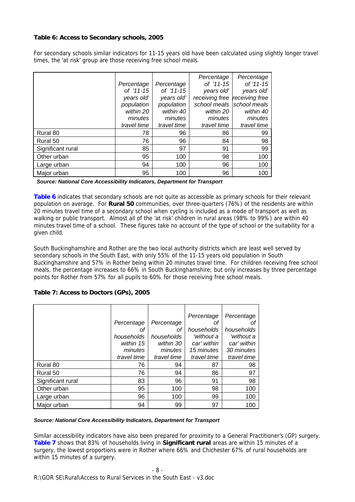## **Table 6: Access to Secondary schools, 2005**

For secondary schools similar indicators for 11-15 years old have been calculated using slightly longer travel times, the 'at risk' group are those receiving free school meals.

|                   | Percentage<br>of '11-15 | Percentage<br>of '11-15 | Percentage<br>of '11-15<br>years old' | Percentage<br>of '11-15<br>years old' |
|-------------------|-------------------------|-------------------------|---------------------------------------|---------------------------------------|
|                   | years old'              | years old'              | receiving free                        | receiving free                        |
|                   | population              | population              |                                       | school meals school meals             |
|                   | within 20               | within 40               | within 20                             | within 40                             |
|                   | minutes                 | minutes                 | minutes                               | minutes                               |
|                   | travel time             | travel time             | travel time                           | travel time                           |
| Rural 80          | 78                      | 96                      | 86                                    | 99                                    |
| Rural 50          | 76                      | 96                      | 84                                    | 98                                    |
| Significant rural | 85                      | 97                      | 91                                    | 99                                    |
| Other urban       | 95                      | 100                     | 98                                    | 100                                   |
| Large urban       | 94                      | 100                     | 96                                    | 100                                   |
| Major urban       | 95                      | 100                     | 96                                    | 100                                   |

*Source: National Core Accessibility Indicators, Department for Transport* 

**Table 6** indicates that secondary schools are not quite as accessible as primary schools for their relevant population on average. For **Rural 50** communities, over three-quarters (76%) of the residents are within 20 minutes travel time of a secondary school when cycling is included as a mode of transport as well as walking or public transport. Almost all of the 'at risk' children in rural areas (98% to 99%) are within 40 minutes travel time of a school. These figures take no account of the type of school or the suitability for a given child.

South Buckinghamshire and Rother are the two local authority districts which are least well served by secondary schools in the South East, with only 55% of the 11-15 years old population in South Buckinghamshire and 57% in Rother being within 20 minutes travel time. For children receiving free school meals, the percentage increases to 66% in South Buckinghamshire; but only increases by three percentage points for Rother from 57% for all pupils to 60% for those receiving free school meals.

## **Table 7: Access to Doctors (GPs), 2005**

|                   |             |             | Percentage  | Percentage  |
|-------------------|-------------|-------------|-------------|-------------|
|                   | Percentage  | Percentage  | Οt          | оt          |
|                   | οf          | οf          | households  | households  |
|                   | households  | households  | 'without a  | 'without a  |
|                   | within 15   | within 30   | car' within | car' within |
|                   | minutes     | minutes     | 15 minutes  | 30 minutes  |
|                   | travel time | travel time | travel time | travel time |
| Rural 80          | 76          | 94          | 87          | 98          |
| Rural 50          | 76          | 94          | 86          | 97          |
| Significant rural | 83          | 96          | 91          | 98          |
| Other urban       | 95          | 100         | 98          | 100         |
| Large urban       | 96          | 100         | 99          | 100         |
| Maior urban       | 94          | 99          | 97          | 100         |

## *Source: National Core Accessibility Indicators, Department for Transport*

Similar accessibility indicators have also been prepared for proximity to a General Practitioner's (GP) surgery. **Table 7** shows that 83% of households living in **Significant rural** areas are within 15 minutes of a surgery, the lowest proportions were in Rother where 66% and Chichester 67% of rural households are within 15 minutes of a surgery.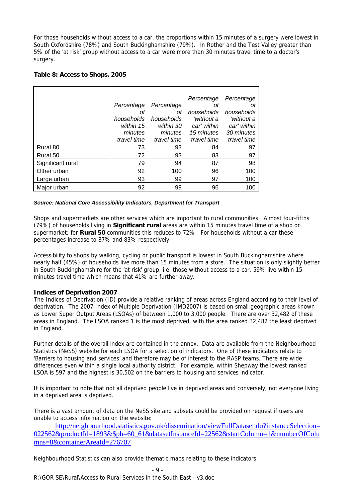For those households without access to a car, the proportions within 15 minutes of a surgery were lowest in South Oxfordshire (78%) and South Buckinghamshire (79%). In Rother and the Test Valley greater than 5% of the 'at risk' group without access to a car were more than 30 minutes travel time to a doctor's surgery.

| Table 8: Access to Shops, 2005 |  |  |
|--------------------------------|--|--|
|--------------------------------|--|--|

|                   |             |             | Percentage  | Percentage  |
|-------------------|-------------|-------------|-------------|-------------|
|                   | Percentage  | Percentage  | ΟŤ          | Οt          |
|                   | Οt          | οf          | households  | households  |
|                   | households  | households  | 'without a  | 'without a  |
|                   | within 15   | within 30   | car' within | car' within |
|                   | minutes     | minutes     | 15 minutes  | 30 minutes  |
|                   | travel time | travel time | travel time | travel time |
| Rural 80          | 73          | 93          | 84          | 97          |
| Rural 50          | 72          | 93          | 83          | 97          |
| Significant rural | 79          | 94          | 87          | 98          |
| Other urban       | 92          | 100         | 96          | 100         |
| Large urban       | 93          | 99          | 97          | 100         |
| Major urban       | 92          | 99          | 96          | 100         |

#### *Source: National Core Accessibility Indicators, Department for Transport*

Shops and supermarkets are other services which are important to rural communities. Almost four-fifths (79%) of households living in **Significant rural** areas are within 15 minutes travel time of a shop or supermarket; for **Rural 50** communities this reduces to 72%. For households without a car these percentages increase to 87% and 83% respectively.

Accessibility to shops by walking, cycling or public transport is lowest in South Buckinghamshire where nearly half (45%) of households live more than 15 minutes from a store. The situation is only slightly better in South Buckinghamshire for the 'at risk' group, i.e. those without access to a car, 59% live within 15 minutes travel time which means that 41% are further away.

## **Indices of Deprivation 2007**

The Indices of Deprivation (ID) provide a relative ranking of areas across England according to their level of deprivation. The 2007 Index of Multiple Deprivation (IMD2007) is based on small geographic areas known as Lower Super Output Areas (LSOAs) of between 1,000 to 3,000 people. There are over 32,482 of these areas in England. The LSOA ranked 1 is the most deprived, with the area ranked 32,482 the least deprived in England.

Further details of the overall index are contained in the annex. Data are available from the Neighbourhood Statistics (NeSS) website for each LSOA for a selection of indicators. One of these indicators relate to 'Barriers to housing and services' and therefore may be of interest to the RASP teams. There are wide differences even within a single local authority district. For example, within Shepway the lowest ranked LSOA is 597 and the highest is 30,502 on the barriers to housing and services indicator.

It is important to note that not all deprived people live in deprived areas and conversely, not everyone living in a deprived area is deprived.

There is a vast amount of data on the NeSS site and subsets could be provided on request if users are unable to access information on the website:

http://neighbourhood.statistics.gov.uk/dissemination/viewFullDataset.do?instanceSelection= 022562&productId=1893&\$ph=60\_61&datasetInstanceId=22562&startColumn=1&numberOfColu mns=8&containerAreaId=276707

Neighbourhood Statistics can also provide thematic maps relating to these indicators.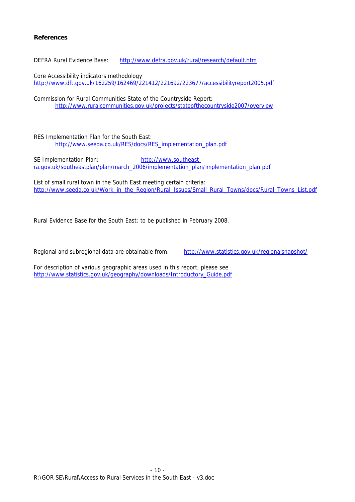## **References**

DEFRA Rural Evidence Base: http://www.defra.gov.uk/rural/research/default.htm

Core Accessibility indicators methodology http://www.dft.gov.uk/162259/162469/221412/221692/223677/accessibilityreport2005.pdf

Commission for Rural Communities State of the Countryside Report: http://www.ruralcommunities.gov.uk/projects/stateofthecountryside2007/overview

RES Implementation Plan for the South East: http://www.seeda.co.uk/RES/docs/RES\_implementation\_plan.pdf

SE Implementation Plan: http://www.southeastra.gov.uk/southeastplan/plan/march\_2006/implementation\_plan/implementation\_plan.pdf

List of small rural town in the South East meeting certain criteria: http://www.seeda.co.uk/Work\_in\_the\_Region/Rural\_Issues/Small\_Rural\_Towns/docs/Rural\_Towns\_List.pdf

Rural Evidence Base for the South East: to be published in February 2008.

Regional and subregional data are obtainable from: http://www.statistics.gov.uk/regionalsnapshot/

For description of various geographic areas used in this report, please see http://www.statistics.gov.uk/geography/downloads/Introductory\_Guide.pdf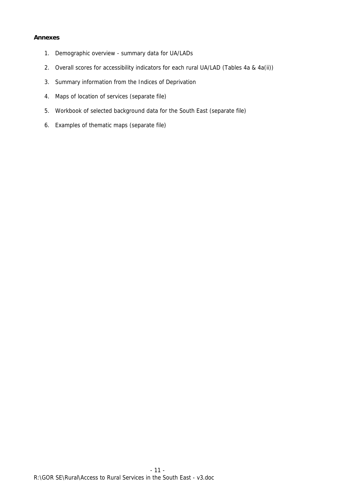## **Annexes**

- 1. Demographic overview summary data for UA/LADs
- 2. Overall scores for accessibility indicators for each rural UA/LAD (Tables 4a & 4a(ii))
- 3. Summary information from the Indices of Deprivation
- 4. Maps of location of services (separate file)
- 5. Workbook of selected background data for the South East (separate file)
- 6. Examples of thematic maps (separate file)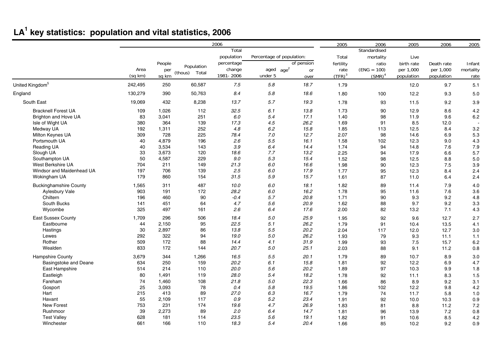# **LA1 key statistics: population and vital statistics, 2006**

|                               |         |        |                  | 2006       |                           |                        | 2005      | 2006          | 2005       | 2006       | 2005      |
|-------------------------------|---------|--------|------------------|------------|---------------------------|------------------------|-----------|---------------|------------|------------|-----------|
|                               |         |        |                  | Total      |                           |                        |           | Standardised  |            |            |           |
|                               |         |        |                  | population | Percentage of population: |                        | Total     | mortality     | Live       |            |           |
|                               |         | People |                  | percentage |                           | of pension             | fertility | ratio         | birth rate | Death rate | Infant    |
|                               | Area    | per    | Population       | change     | aged                      | age <sup>2</sup><br>or | rate      | $(ENG = 100)$ | per 1,000  | per 1,000  | mortality |
|                               | (sq km) | sq km  | Total<br>(thous) | 1981-2006  | under 5                   | over                   | $(TFR)^3$ | $(SMR)^4$     | population | population | rate      |
| United Kingdom <sup>5</sup>   | 242,495 | 250    | 60,587           | 7.5        | $5.8\,$                   | 18.7                   | 1.79      |               | 12.0       | 9.7        | 5.1       |
| England                       | 130,279 | 390    | 50,763           | 8.4        | $5.8\,$                   | 18.6                   | 1.80      | 100           | 12.2       | 9.3        | 5.0       |
| South East                    | 19,069  | 432    | 8,238            | 13.7       | 5.7                       | 19.3                   | 1.78      | 93            | 11.5       | 9.2        | 3.9       |
| <b>Bracknell Forest UA</b>    | 109     | 1,026  | 112              | 32.5       | 6.1                       | 13.8                   | 1.73      | 90            | 12.9       | 8.6        | 4.2       |
| Brighton and Hove UA          | 83      | 3,041  | 251              | 6.0        | 5.4                       | 17.1                   | 1.40      | 98            | 11.9       | 9.6        | 6.2       |
| Isle of Wight UA              | 380     | 364    | 139              | 17.3       | 4.5                       | 26.2                   | 1.69      | 91            | 8.5        | 12.0       |           |
| Medway UA                     | 192     | 1,311  | 252              | 4.8        | 6.2                       | 15.8                   | 1.85      | 113           | 12.5       | 8.4        | 3.2       |
| Milton Keynes UA              | 309     | 728    | 225              | 78.4       | 7.0                       | 12.7                   | 2.07      | 98            | 14.6       | 6.9        | 5.3       |
| Portsmouth UA                 | 40      | 4,879  | 196              | 2.6        | $5.5\,$                   | 16.1                   | 1.58      | 102           | 12.3       | 9.0        | 4.3       |
| Reading UA                    | 40      | 3,534  | 143              | 3.9        | 6.4                       | 14.4                   | 1.74      | 94            | 14.8       | 7.6        | 7.9       |
| Slough UA                     | 33      | 3.673  | 120              | 18.6       | 7.7                       | 13.2                   | 2.25      | 94            | 17.9       | 6.6        | 5.7       |
| Southampton UA                | 50      | 4,587  | 229              | 9.0        | 5.3                       | 15.4                   | 1.52      | 98            | 12.5       | 8.8        | 5.0       |
| West Berkshire UA             | 704     | 211    | 149              | 21.3       | 6.0                       | 16.6                   | 1.98      | 90            | 12.3       | 7.5        | 3.9       |
| Windsor and Maidenhead UA     | 197     | 706    | 139              | 2.5        | 6.0                       | 17.9                   | 1.77      | 95            | 12.3       | 8.4        | 2.4       |
| Wokingham UA                  | 179     | 860    | 154              | 31.5       | 5.9                       | 15.7                   | 1.61      | 87            | 11.0       | 6.4        | 2.4       |
| <b>Buckinghamshire County</b> | 1,565   | 311    | 487              | 10.0       | 6.0                       | 18.1                   | 1.82      | 89            | 11.4       | 7.9        | 4.0       |
| Aylesbury Vale                | 903     | 191    | 172              | 28.2       | 6.0                       | 16.2                   | 1.78      | 95            | 11.6       | 7.6        | 3.6       |
| Chiltern                      | 196     | 460    | 90               | $-0.4$     | 5.7                       | 20.8                   | 1.71      | 90            | 9.3        | 9.2        | 4.8       |
| South Bucks                   | 141     | 451    | 64               | 4.7        | 5.6                       | 20.9                   | 1.62      | 88            | 9.7        | 9.2        | 3.3       |
| Wycombe                       | 325     | 497    | 161              | 2.6        | 6.4                       | 17.6                   | 2.00      | 82            | 13.2       | 7.1        | 4.3       |
| <b>East Sussex County</b>     | 1.709   | 296    | 506              | 18.4       | 5.0                       | 25.9                   | 1.95      | 92            | 9.6        | 12.7       | 2.7       |
| Eastbourne                    | 44      | 2,150  | 95               | 22.5       | 5.1                       | 26.2                   | 1.79      | 91            | 10.4       | 13.5       | 4.1       |
| Hastings                      | 30      | 2,897  | 86               | 13.8       | 5.5                       | 20.2                   | 2.04      | 117           | 12.0       | 12.7       | 3.0       |
| Lewes                         | 292     | 322    | 94               | 19.0       | 5.0                       | 26.2                   | 1.93      | 79            | 9.3        | 11.1       | 1.1       |
| Rother                        | 509     | 172    | 88               | 14.4       | 4.1                       | 31.9                   | 1.99      | 93            | 7.5        | 15.7       | 6.2       |
| Wealden                       | 833     | 172    | 144              | 20.7       | 5.0                       | 25.1                   | 2.03      | 88            | 9.1        | 11.2       | 0.8       |
| <b>Hampshire County</b>       | 3,679   | 344    | 1,266            | 16.5       | 5.5                       | 20.1                   | 1.79      | 89            | 10.7       | 8.9        | 3.0       |
| <b>Basingstoke and Deane</b>  | 634     | 250    | 159              | 20.2       | 6.1                       | 15.8                   | 1.81      | 92            | 12.2       | 6.9        | 4.7       |
| East Hampshire                | 514     | 214    | 110              | 20.0       | 5.6                       | 20.2                   | 1.89      | 97            | 10.3       | 9.9        | 1.8       |
| Eastleigh                     | 80      | 1,491  | 119              | 28.0       | 5.4                       | 18.2                   | 1.78      | 92            | 11.1       | 8.3        | 1.5       |
| Fareham                       | 74      | 1,460  | 108              | 21.8       | 5.0                       | 22.3                   | 1.66      | 86            | 8.9        | 9.2        | 3.1       |
| Gosport                       | 25      | 3,093  | 78               | 0.4        | 5.8                       | 19.5                   | 1.86      | 102           | 12.2       | 9.8        | 4.2       |
| Hart                          | 215     | 413    | 89               | 27.0       | 6.3                       | 16.7                   | 1.79      | 74            | 11.7       | 5.8        | 1.0       |
| Havant                        | 55      | 2,109  | 117              | 0.9        | 5.2                       | 23.4                   | 1.91      | 92            | 10.0       | 10.3       | 0.9       |
| New Forest                    | 753     | 231    | 174              | 19.6       | 4.7                       | 26.9                   | 1.83      | 81            | 8.8        | 11.2       | 7.2       |
| Rushmoor                      | 39      | 2,273  | 89               | 2.0        | 6.4                       | 14.7                   | 1.81      | 96            | 13.9       | 7.2        | 0.8       |
| <b>Test Valley</b>            | 628     | 181    | 114              | 23.5       | 5.6                       | 19.1                   | 1.82      | 91            | 10.6       | 8.5        | 4.2       |
| Winchester                    | 661     | 166    | 110              | 18.3       | 5.4                       | 20.4                   | 1.66      | 85            | 10.2       | 9.2        | 0.9       |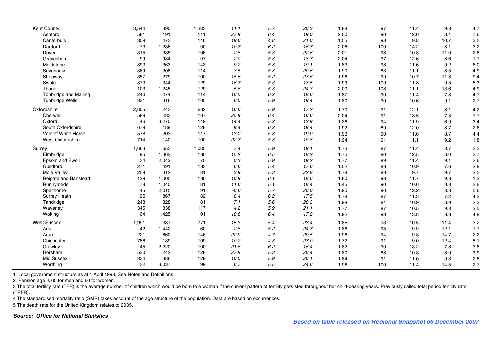| Kent County                  | 3,544 | 390   | 1,383 | 11.1    | 5.7     | 20.3 | 1.88 | 97  | 11.4 | 9.8  | 4.7 |
|------------------------------|-------|-------|-------|---------|---------|------|------|-----|------|------|-----|
| Ashford                      | 581   | 191   | 111   | 27.9    | 6.4     | 19.0 | 2.00 | 90  | 12.0 | 8.4  | 7.6 |
| Canterbury                   | 309   | 473   | 146   | 19.6    | 4.8     | 21.0 | 1.55 | 98  | 9.8  | 10.7 | 3.5 |
| Dartford                     | 73    | 1,236 | 90    | 10.7    | 6.2     | 16.7 | 2.06 | 100 | 14.2 | 8.1  | 3.2 |
| Dover                        | 315   | 338   | 106   | 2.8     | 5.3     | 22.6 | 2.01 | 98  | 10.8 | 11.0 | 2.6 |
| Gravesham                    | 99    | 984   | 97    | 2.0     | 5.8     | 18.7 | 2.04 | 97  | 12.6 | 8.6  | 1.7 |
| Maidstone                    | 393   | 363   | 143   | 9.2     | 5.8     | 19.1 | 1.83 | 98  | 11.6 | 9.2  | 6.0 |
| Sevenoaks                    | 369   | 308   | 114   | 3.5     | 5.8     | 20.6 | 1.90 | 83  | 11.1 | 8.5  | 4.9 |
| Shepway                      | 357   | 279   | 100   | 15.6    | 5.2     | 23.6 | 1.96 | 99  | 10.7 | 11.8 | 9.4 |
| Swale                        | 373   | 344   | 129   | 16.7    | 5.8     | 18.5 | 1.99 | 109 | 11.8 | 9.5  | 5.3 |
| Thanet                       | 103   | 1,245 | 129   | 5.6     | 5.3     | 24.3 | 2.00 | 108 | 11.1 | 13.6 | 4.9 |
| <b>Tonbridge and Malling</b> | 240   | 474   | 114   | 16.5    | 6.2     | 18.6 | 1.87 | 90  | 11.4 | 7.8  | 4.7 |
| <b>Tunbridge Wells</b>       | 331   | 316   | 105   | 6.0     | 5.9     | 19.4 | 1.80 | 90  | 10.6 | 9.1  | 2.7 |
| Oxfordshire                  | 2,605 | 243   | 632   | 16.6    | 5.9     | 17.2 | 1.70 | 91  | 12.1 | 8.1  | 4.2 |
| Cherwell                     | 589   | 233   | 137   | 25.9    | 6.4     | 16.6 | 2.04 | 91  | 13.5 | 7.5  | 7.7 |
| Oxford                       | 46    | 3,270 | 149   | 14.4    | 5.2     | 12.9 | 1.36 | 94  | 11.9 | 6.9  | 3.4 |
| South Oxfordshire            | 679   | 189   | 128   | 9.4     | 6.2     | 19.4 | 1.92 | 89  | 12.0 | 8.7  | 2.6 |
| Vale of White Horse          | 578   | 203   | 117   | 13.2    | 5.8     | 19.0 | 1.93 | 90  | 11.6 | 8.7  | 4.4 |
| West Oxfordshire             | 714   | 140   | 100   | 22.7    | 5.8     | 19.8 | 1.94 | 91  | 11.1 | 9.2  | 1.8 |
| Surrey                       | 1,663 | 653   | 1,085 | 7.4     | 5.9     | 19.1 | 1.73 | 87  | 11.4 | 8.7  | 3.3 |
| Elmbridge                    | 95    | 1,362 | 130   | 15.2    | 6.5     | 18.2 | 1.75 | 80  | 12.5 | 8.0  | 3.7 |
| Epsom and Ewell              | 34    | 2,042 | 70    | 0.3     | $5.9\,$ | 19.2 | 1.77 | 89  | 11.4 | 9.1  | 2.6 |
| Guildford                    | 271   | 491   | 133   | 6.6     | 5.4     | 17.6 | 1.52 | 83  | 10.9 | 7.6  | 2.8 |
| Mole Valley                  | 258   | 312   | 81    | $3.9\,$ | 5.3     | 22.8 | 1.78 | 83  | 9.7  | 9.7  | 2.5 |
| Reigate and Banstead         | 129   | 1,005 | 130   | 10.9    | 6.1     | 18.6 | 1.80 | 98  | 11.7 | 9.8  | 1.3 |
| Runnymede                    | 78    | 1,040 | 81    | 11.6    | 5.1     | 18.4 | 1.45 | 90  | 10.6 | 8.8  | 3.6 |
| Spelthorne                   | 45    | 2,015 | 91    | $-0.6$  | 5.7     | 20.0 | 1.90 | 90  | 12.2 | 8.8  | 5.6 |
| <b>Surrey Heath</b>          | 95    | 867   | 82    | 8.4     | 6.2     | 17.5 | 1.78 | 87  | 11.3 | 7.2  | 4.3 |
| Tandridge                    | 248   | 328   | 81    | 7.1     | 5.6     | 20.3 | 1.98 | 84  | 10.9 | 8.9  | 2.3 |
| Waverley                     | 345   | 338   | 117   | 4.2     | $5.9\,$ | 21.1 | 1.77 | 87  | 10.5 | 9.8  | 2.5 |
| Woking                       | 64    | 1,425 | 91    | 10.6    | 6.4     | 17.2 | 1.92 | 93  | 13.8 | 8.3  | 4.8 |
| <b>West Sussex</b>           | 1,991 | 387   | 771   | 15.3    | 5.4     | 23.4 | 1.85 | 93  | 10.5 | 11.4 | 3.2 |
| Adur                         | 42    | 1,442 | 60    | 2.8     | $5.2\,$ | 24.7 | 1.86 | 95  | 9.9  | 12.1 | 1.7 |
| Arun                         | 221   | 660   | 146   | 22.9    | 4.7     | 29.5 | 1.96 | 94  | 9.3  | 14.7 | 2.2 |
| Chichester                   | 786   | 139   | 109   | 10.2    | 4.8     | 27.0 | 1.72 | 91  | 9.0  | 12.4 | 5.1 |
| Crawley                      | 45    | 2,220 | 100   | 21.6    | $6.2\,$ | 16.4 | 1.82 | 90  | 13.2 | 7.8  | 3.8 |
| Horsham                      | 530   | 242   | 128   | 27.8    | 5.3     | 20.4 | 1.80 | 88  | 10.3 | 8.9  | 3.9 |
| <b>Mid Sussex</b>            | 334   | 386   | 129   | 10.0    | 5.9     | 20.1 | 1.84 | 91  | 11.0 | 9.3  | 2.8 |
| Worthing                     | 32    | 3,037 | 99    | 6.7     | 5.5     | 24.6 | 1.96 | 100 | 11.4 | 14.5 | 2.7 |

1 Local government structure as at 1 April 1998. See Notes and Definitions.

2 Pension age is 65 for men and 60 for women.

3 The total fertility rate (TFR) is the average number of children which would be born to a woman if the current pattern of fertility persisted throughout her child-bearing years. Previously called total period fertility r (TPFR).

4 The standardised mortality ratio (SMR) takes account of the age structure of the population. Data are based on occurrences.

5 The death rate for the United Kingdom relates to 2005.

#### *Source: Office for National Statistics*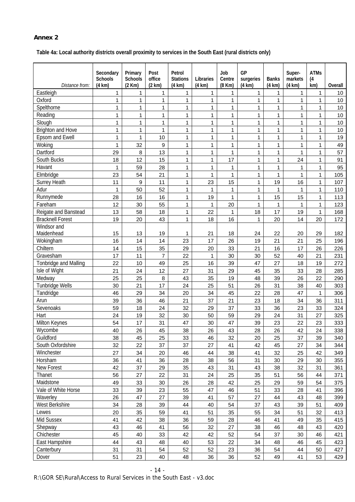## **Annex 2**

**Table 4a: Local authority districts overall proximity to services in the South East (rural districts only)** 

|                                 | Secondary<br><b>Schools</b> | Primary<br><b>Schools</b> | Post<br>office | Petrol<br><b>Stations</b>    | Libraries                    | Job<br>Centre | GP<br>surgeries | <b>Banks</b>      | Super-<br>markets | <b>ATMs</b><br>(4) |            |
|---------------------------------|-----------------------------|---------------------------|----------------|------------------------------|------------------------------|---------------|-----------------|-------------------|-------------------|--------------------|------------|
| Distance from:                  | $(4 \text{ km})$            | (2 Km)                    | (2 km)         | (4 km)                       | (4 km)                       | (8 Km)        | (4 km)          | (4 km)            | (4 km)            | km)                | Overall    |
| Eastleigh<br>Oxford             | 1<br>1                      | 1<br>1                    | 1<br>1         | $\mathbf{1}$<br>$\mathbf{1}$ | $\mathbf{1}$<br>$\mathbf{1}$ | 1<br>1        | 1<br>1          | 1<br>$\mathbf{1}$ | 1<br>1            | 1<br>1             | 10<br>10   |
| Spelthorne                      | 1                           | $\mathbf{1}$              | 1              | $\mathbf{1}$                 | $\mathbf{1}$                 | 1             | 1               | $\mathbf{1}$      | 1                 | $\mathbf{1}$       | 10         |
| Reading                         | 1                           | 1                         | 1              | $\mathbf{1}$                 | $\mathbf{1}$                 | $\mathbf{1}$  | 1               | $\mathbf{1}$      | 1                 | $\mathbf{1}$       | 10         |
| Slough                          | 1                           | 1                         | 1              | $\mathbf 1$                  | 1                            | $\mathbf{1}$  | 1               | $\mathbf{1}$      | 1                 | 1                  | 10         |
| <b>Brighton and Hove</b>        | 1                           | 1                         | 1              | $\mathbf 1$                  | 1                            | 1             | 1               | $\mathbf{1}$      | 1                 | 1                  | 10         |
| Epsom and Ewell                 | 1                           | 1                         | 10             | $\mathbf{1}$                 | 1                            | 1             | 1               | 1                 | 1                 | 1                  | 19         |
| Woking                          | 1                           | 32                        | 9              | $\mathbf{1}$                 | $\mathbf{1}$                 | $\mathbf{1}$  | 1               | $\mathbf{1}$      | 1                 | $\mathbf{1}$       | 49         |
| Dartford                        | 29                          | 8                         | 13             | 1                            | 1                            | $\mathbf{1}$  | 1               | 1                 | 1                 | 1                  | 57         |
| South Bucks                     | 18                          | 12                        | 15             | $\mathbf{1}$                 | 1                            | 17            | 1               | $\mathbf{1}$      | 24                | $\mathbf{1}$       | 91         |
| Havant                          | 1                           | 59                        | 28             | $\mathbf{1}$                 | $\mathbf{1}$                 | $\mathbf{1}$  | 1               | $\mathbf{1}$      | 1                 | $\mathbf{1}$       | 95         |
| Elmbridge                       | 23                          | 54                        | 21             | $\mathbf{1}$                 | 1                            | $\mathbf{1}$  | 1               | $\mathbf{1}$      | 1                 | 1                  | 105        |
| <b>Surrey Heath</b>             | 11                          | 9                         | 11             | $\mathbf{1}$                 | 23                           | 15            | 1               | 19                | 16                | 1                  | 107        |
| Adur                            | 1                           | 50                        | 52             | $\mathbf{1}$                 | $\mathbf{1}$                 | $\mathbf{1}$  | 1               | $\mathbf{1}$      | 1                 | 1                  | 110        |
| Runnymede                       | 28                          | 16                        | 16             | $\mathbf{1}$                 | 19                           | $\mathbf{1}$  | 1               | 15                | 15                | 1                  | 113        |
| Fareham                         | 12                          | 30                        | 55             | $\mathbf{1}$                 | $\overline{1}$               | 20            | 1               | $\mathbf{1}$      | 1                 | $\mathbf{1}$       | 123        |
| Reigate and Banstead            | 13                          | 58                        | 18             | $\mathbf{1}$                 | 22                           | $\mathbf{1}$  | 18              | 17                | 19                | 1                  | 168        |
| <b>Bracknell Forest</b>         | 19                          | 20                        | 43             | $\mathbf{1}$                 | 18                           | 16            | 1               | 20                | 14                | 20                 | 172        |
| Windsor and                     |                             |                           |                |                              |                              |               |                 |                   |                   |                    |            |
| Maidenhead                      | 15                          | 13                        | 19             | 1                            | 21                           | 18            | 24              | 22                | 20                | 29                 | 182        |
| Wokingham                       | 16                          | 14                        | 14             | 23                           | 17                           | 26            | 19              | 21                | 21                | 25                 | 196        |
| Chiltern                        | 14                          | 15                        | 35             | 29                           | 20                           | 33            | 21              | 16                | 17                | 26                 | 226        |
| Gravesham                       | 17                          | 11                        | $\overline{7}$ | 22                           | $\mathbf{1}$                 | 30            | 30              | 52                | 40                | 21                 | 231        |
| Tonbridge and Malling           | 22                          | 10                        | 49             | 25                           | 16                           | 39            | 47              | 27                | 18                | 19                 | 272        |
| Isle of Wight                   | 21                          | 24                        | 12             | 27                           | 31                           | 29            | 45              | 35                | 33                | 28                 | 285        |
| Medway                          | 25                          | 25                        | 8              | 43                           | 35                           | 19            | 48              | 39                | 26                | 22                 | 290        |
| Tunbridge Wells                 | 30                          | 21                        | 17             | 24                           | 25                           | 51            | 26              | 31                | 38                | 40                 | 303        |
| Tandridge                       | 46                          | 29                        | 34             | 20                           | 34                           | 45            | 22              | 28                | 47                | $\mathbf{1}$       | 306        |
| Arun                            | 39                          | 36                        | 46             | 21                           | 37                           | 21            | 23              | 18                | 34                | 36                 | 311        |
| Sevenoaks                       | 59                          | 18                        | 24             | 32                           | 29                           | 37            | 33              | 36                | 23                | 33                 | 324        |
| Hart                            | 24                          | 19                        | 32             | 30                           | 50                           | 59            | 29              | 24                | 31                | 27                 | 325        |
| Milton Keynes                   | 54                          | 17                        | 31             | 47                           | 30                           | 47            | 39              | 23                | 22                | 23                 | 333        |
| Wycombe                         | 40                          | 26                        | 45             | 38                           | 26                           | 43            | 28              | 26                | 42                | 24                 | 338        |
| Guildford                       | 38                          | 45                        | 25             | 33                           | 46                           | 32            | 20              | 25                | 37                | 39                 | 340        |
| South Oxfordshire<br>Winchester | 32<br>27                    | 22                        | 37             | 37                           | 27                           | 41            | 42              | 45                | 27<br>25          | 34                 | 344        |
| Horsham                         | 36                          | 34<br>41                  | 20<br>36       | 46<br>28                     | 44<br>38                     | 38<br>56      | 41<br>31        | 32<br>30          | 29                | 42<br>30           | 349<br>355 |
| New Forest                      | 42                          | 37                        | 29             | 35                           | 43                           | 31            | 43              | 38                | 32                | 31                 | 361        |
| Thanet                          | 56                          | 27                        | 22             | 31                           | 24                           | 25            | 35              | 51                | 56                | 44                 | 371        |
| Maidstone                       | 49                          | 33                        | 30             | 26                           | 28                           | 42            | 25              | 29                | 59                | 54                 | 375        |
| Vale of White Horse             | 33                          | 39                        | 23             | 55                           | 47                           | 46            | 51              | 33                | 28                | 41                 | 396        |
| Waverley                        | 26                          | 47                        | 27             | 39                           | 41                           | 57            | 27              | 44                | 43                | 48                 | 399        |
| West Berkshire                  | 34                          | 28                        | 39             | 44                           | 40                           | 54            | 37              | 43                | 39                | 51                 | 409        |
| Lewes                           | 20                          | 35                        | 59             | 41                           | 51                           | 35            | 55              | 34                | 51                | 32                 | 413        |
| Mid Sussex                      | 41                          | 42                        | 38             | 36                           | 59                           | 28            | 46              | 41                | 49                | 35                 | 415        |
| Shepway                         | 43                          | 46                        | 41             | 56                           | 32                           | 27            | 38              | 46                | 48                | 43                 | 420        |
| Chichester                      | 45                          | 40                        | 33             | 42                           | 42                           | 52            | 54              | 37                | 30                | 46                 | 421        |
| East Hampshire                  | 44                          | 43                        | 48             | 40                           | 53                           | 22            | 34              | 48                | 46                | 45                 | 423        |
| Canterbury                      | 31                          | 31                        | 54             | 52                           | 52                           | 23            | 36              | 54                | 44                | 50                 | 427        |
| Dover                           | 51                          | 23                        | 40             | 48                           | 36                           | 36            | 52              | 49                | 41                | 53                 | 429        |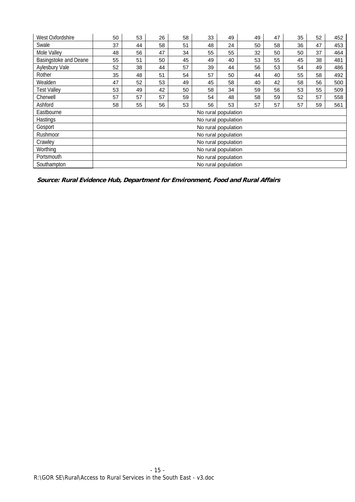| West Oxfordshire      | 50 | 53                  | 26 | 58 | 33 | 49                  | 49 | 47 | 35 | 52 | 452 |
|-----------------------|----|---------------------|----|----|----|---------------------|----|----|----|----|-----|
| Swale                 | 37 | 44                  | 58 | 51 | 48 | 24                  | 50 | 58 | 36 | 47 | 453 |
| Mole Valley           | 48 | 56                  | 47 | 34 | 55 | 55                  | 32 | 50 | 50 | 37 | 464 |
| Basingstoke and Deane | 55 | 51                  | 50 | 45 | 49 | 40                  | 53 | 55 | 45 | 38 | 481 |
| Aylesbury Vale        | 52 | 38                  | 44 | 57 | 39 | 44                  | 56 | 53 | 54 | 49 | 486 |
| Rother                | 35 | 48                  | 51 | 54 | 57 | 50                  | 44 | 40 | 55 | 58 | 492 |
| Wealden               | 47 | 52                  | 53 | 49 | 45 | 58                  | 40 | 42 | 58 | 56 | 500 |
| <b>Test Valley</b>    | 53 | 49                  | 42 | 50 | 58 | 34                  | 59 | 56 | 53 | 55 | 509 |
| Cherwell              | 57 | 57                  | 57 | 59 | 54 | 48                  | 58 | 59 | 52 | 57 | 558 |
| Ashford               | 58 | 55                  | 56 | 53 | 56 | 53                  | 57 | 57 | 57 | 59 | 561 |
| Eastbourne            |    |                     |    |    |    | No rural population |    |    |    |    |     |
| Hastings              |    |                     |    |    |    | No rural population |    |    |    |    |     |
| Gosport               |    |                     |    |    |    | No rural population |    |    |    |    |     |
| Rushmoor              |    |                     |    |    |    | No rural population |    |    |    |    |     |
| Crawley               |    |                     |    |    |    | No rural population |    |    |    |    |     |
| Worthing              |    | No rural population |    |    |    |                     |    |    |    |    |     |
| Portsmouth            |    |                     |    |    |    | No rural population |    |    |    |    |     |
| Southampton           |    |                     |    |    |    | No rural population |    |    |    |    |     |

**Source: Rural Evidence Hub, Department for Environment, Food and Rural Affairs**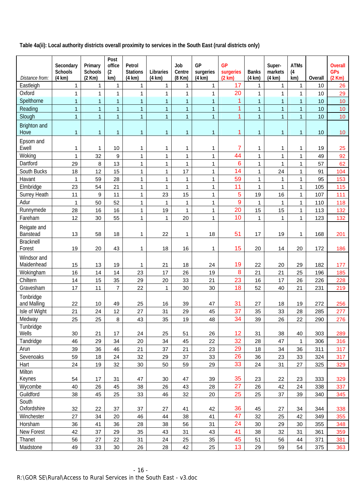**Table 4a(ii): Local authority districts overall proximity to services in the South East (rural districts only)** 

| Distance from:              | Secondary<br>Schools<br>(4 km) | Primary<br><b>Schools</b><br>(2 Km) | Post<br>office<br>(2)<br>km) | Petrol<br><b>Stations</b><br>(4 km) | Libraries<br>(4 km) | Job<br>Centre<br>(8 Km) | GP<br>surgeries<br>(4 km) | <b>GP</b><br>surgeries<br>(2 km) | <b>Banks</b><br>(4 km) | Super-<br>markets<br>(4 km) | <b>ATMs</b><br>(4)<br>km) | Overall | <b>Overall</b><br><b>GPs</b><br>(2 Km) |
|-----------------------------|--------------------------------|-------------------------------------|------------------------------|-------------------------------------|---------------------|-------------------------|---------------------------|----------------------------------|------------------------|-----------------------------|---------------------------|---------|----------------------------------------|
| Eastleigh                   | $\mathbf{1}$                   | 1                                   | 1                            | 1                                   | $\mathbf{1}$        | $\mathbf{1}$            | 1                         | 17                               | 1                      | 1                           | $\mathbf{1}$              | 10      | 26                                     |
| Oxford                      | $\mathbf{1}$                   | 1                                   | 1                            | 1                                   | 1                   | 1                       | $\mathbf{1}$              | 20                               | $\mathbf{1}$           | 1                           | $\mathbf{1}$              | 10      | 29                                     |
| Spelthorne                  | $\overline{1}$                 | $\overline{1}$                      | $\overline{1}$               | $\mathbf{1}$                        | $\overline{1}$      | $\overline{1}$          | $\overline{1}$            | $\overline{1}$                   | $\overline{1}$         | $\overline{1}$              | $\overline{1}$            | 10      | 10                                     |
| Reading                     | $\overline{1}$                 | $\overline{1}$                      | $\overline{1}$               | $\mathbf{1}$                        | $\overline{1}$      | $\mathbf{1}$            | $\mathbf{1}$              | 1                                | $\overline{1}$         | $\mathbf{1}$                | $\mathbf{1}$              | 10      | 10                                     |
| Slough                      | $\mathbf{1}$                   | 1                                   | $\overline{1}$               | $\mathbf{1}$                        | $\overline{1}$      | $\mathbf{1}$            | $\mathbf{1}$              | 1                                | $\mathbf{1}$           | $\mathbf{1}$                | $\mathbf{1}$              | 10      | 10                                     |
| <b>Brighton and</b><br>Hove | 1                              | 1                                   | $\mathbf{1}$                 | 1                                   | 1                   | 1                       | $\mathbf{1}$              | 1                                | 1                      | $\mathbf{1}$                | 1                         | 10      | 10                                     |
| Epsom and<br>Ewell          | 1                              | 1                                   | 10                           | 1                                   | 1                   | 1                       | 1                         | 7                                | 1                      | 1                           | 1                         | 19      | 25                                     |
| Woking                      | 1                              | 32                                  | $\boldsymbol{9}$             | $\mathbf{1}$                        | $\mathbf{1}$        | $\mathbf{1}$            | $\mathbf{1}$              | 44                               | $\mathbf{1}$           | 1                           | $\mathbf{1}$              | 49      | 92                                     |
| Dartford                    | 29                             | 8                                   | 13                           | $\mathbf{1}$                        | 1                   | $\mathbf{1}$            | 1                         | 6                                | $\mathbf{1}$           | $\mathbf 1$                 | 1                         | 57      | 62                                     |
| South Bucks                 | 18                             | 12                                  | 15                           | $\mathbf{1}$                        | $\mathbf{1}$        | 17                      | $\mathbf{1}$              | 14                               | $\mathbf{1}$           | 24                          | $\mathbf{1}$              | 91      | 104                                    |
| Havant                      | $\mathbf{1}$                   | 59                                  | 28                           | $\mathbf{1}$                        | 1                   | $\mathbf{1}$            | $\mathbf{1}$              | 59                               | $\mathbf{1}$           | $\mathbf{1}$                | $\mathbf{1}$              | 95      | 153                                    |
| Elmbridge                   | 23                             | 54                                  | 21                           | $\mathbf{1}$                        | $\mathbf{1}$        | $\mathbf{1}$            | $\mathbf{1}$              | 11                               | $\mathbf{1}$           | $\mathbf 1$                 | $\mathbf{1}$              | 105     | 115                                    |
| Surrey Heath                | 11                             | 9                                   | 11                           | $\mathbf{1}$                        | 23                  | 15                      | $\mathbf{1}$              | 5                                | 19                     | 16                          | 1                         | 107     | 111                                    |
| Adur                        | 1                              | 50                                  | 52                           | $\mathbf{1}$                        | 1                   | $\mathbf{1}$            | $\mathbf{1}$              | 9                                | $\mathbf{1}$           | $\mathbf{1}$                | $\mathbf{1}$              | 110     | 118                                    |
| Runnymede                   | 28                             | 16                                  | 16                           | 1                                   | 19                  | $\mathbf{1}$            | $\mathbf{1}$              | 20                               | 15                     | 15                          | 1                         | 113     | 132                                    |
| Fareham                     | 12                             | 30                                  | 55                           | 1                                   | 1                   | 20                      | $\mathbf{1}$              | 10                               | $\mathbf{1}$           | $\mathbf{1}$                | $\mathbf{1}$              | 123     | 132                                    |
| Reigate and<br>Banstead     | 13                             | 58                                  | 18                           | 1                                   | 22                  | 1                       | 18                        | 51                               | 17                     | 19                          | 1                         | 168     | 201                                    |
| <b>Bracknell</b>            |                                |                                     |                              |                                     |                     |                         |                           |                                  |                        |                             |                           |         |                                        |
| Forest                      | 19                             | 20                                  | 43                           | 1                                   | 18                  | 16                      | 1                         | 15                               | 20                     | 14                          | 20                        | 172     | 186                                    |
| Windsor and                 |                                |                                     |                              |                                     |                     |                         |                           |                                  |                        |                             |                           |         |                                        |
| Maidenhead                  | 15                             | 13                                  | 19                           | 1                                   | 21                  | 18                      | 24                        | 19                               | 22                     | 20                          | 29                        | 182     | 177                                    |
| Wokingham                   | 16                             | 14                                  | 14                           | 23                                  | 17                  | 26                      | 19                        | 8                                | 21                     | 21                          | 25                        | 196     | 185                                    |
| Chiltern                    | 14                             | 15                                  | 35                           | 29                                  | 20                  | 33                      | 21                        | 23                               | 16                     | 17                          | 26                        | 226     | 228                                    |
| Gravesham                   | 17                             | 11                                  | $\overline{7}$               | 22                                  | $\mathbf{1}$        | 30                      | 30                        | 18                               | 52                     | 40                          | 21                        | 231     | 219                                    |
| Tonbridge<br>and Malling    | 22                             | 10                                  | 49                           | 25                                  | 16                  | 39                      | 47                        | 31                               | 27                     | 18                          | 19                        | 272     | 256                                    |
| Isle of Wight               | 21                             | 24                                  | 12                           | 27                                  | 31                  | 29                      | 45                        | 37                               | 35                     | 33                          | 28                        | 285     | 277                                    |
| Medway                      | 25                             | 25                                  | 8                            | 43                                  | 35                  | 19                      | 48                        | 34                               | 39                     | 26                          | 22                        | 290     | 276                                    |
| Tunbridge<br>Wells          | 30                             | 21                                  | 17                           | 24                                  | 25                  | 51                      | 26                        | 12                               | 31                     | 38                          | 40                        | 303     | 289                                    |
| Tandridge                   | 46                             | 29                                  | 34                           | 20                                  | 34                  | 45                      | 22                        | 32                               | 28                     | 47                          | 1                         | 306     | 316                                    |
| Arun                        | 39                             | 36                                  | 46                           | 21                                  | 37                  | 21                      | 23                        | 29                               | 18                     | 34                          | 36                        | 311     | 317                                    |
| Sevenoaks                   | 59                             | 18                                  | 24                           | 32                                  | 29                  | 37                      | 33                        | 26                               | 36                     | 23                          | 33                        | 324     | 317                                    |
| Hart                        | 24                             | 19                                  | 32                           | 30                                  | 50                  | 59                      | 29                        | 33                               | 24                     | 31                          | 27                        | 325     | 329                                    |
| Milton                      |                                |                                     |                              |                                     |                     |                         |                           |                                  |                        |                             |                           |         |                                        |
| Keynes                      | 54                             | 17                                  | 31                           | 47                                  | 30                  | 47                      | 39                        | 35                               | 23                     | 22                          | 23                        | 333     | 329                                    |
| Wycombe                     | 40                             | 26                                  | 45                           | 38                                  | 26                  | 43                      | 28                        | 27                               | 26                     | 42                          | 24                        | 338     | 337                                    |
| Guildford                   | 38                             | 45                                  | 25                           | 33                                  | 46                  | 32                      | 20                        | 25                               | 25                     | 37                          | 39                        | 340     | 345                                    |
| South<br>Oxfordshire        | 32                             | 22                                  | 37                           | 37                                  | 27                  | 41                      | 42                        | 36                               | 45                     | 27                          | 34                        | 344     | 338                                    |
| Winchester                  | 27                             | 34                                  | 20                           | 46                                  | 44                  | 38                      | 41                        | 47                               | 32                     | 25                          | 42                        | 349     | 355                                    |
| Horsham                     | 36                             | 41                                  | 36                           | 28                                  | 38                  | 56                      | 31                        | 24                               | 30                     | 29                          | 30                        | 355     | 348                                    |
| New Forest                  | 42                             | 37                                  | 29                           | 35                                  | 43                  | 31                      | 43                        | 41                               | 38                     | 32                          | 31                        | 361     | 359                                    |
| Thanet                      | 56                             | 27                                  | 22                           | 31                                  | 24                  | 25                      | 35                        | 45                               | 51                     | 56                          | 44                        | 371     | 381                                    |
| Maidstone                   | 49                             | 33                                  | 30                           | 26                                  | 28                  | 42                      | 25                        | 13                               | 29                     | 59                          | 54                        | 375     | 363                                    |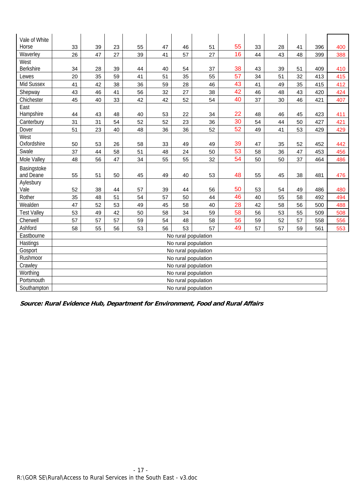| Vale of White      |                     |    |    |    |    |    |                     |    |    |    |    |     |     |
|--------------------|---------------------|----|----|----|----|----|---------------------|----|----|----|----|-----|-----|
| Horse              | 33                  | 39 | 23 | 55 | 47 | 46 | 51                  | 55 | 33 | 28 | 41 | 396 | 400 |
| Waverley           | 26                  | 47 | 27 | 39 | 41 | 57 | 27                  | 16 | 44 | 43 | 48 | 399 | 388 |
| West               |                     |    |    |    |    |    |                     |    |    |    |    |     |     |
| <b>Berkshire</b>   | 34                  | 28 | 39 | 44 | 40 | 54 | 37                  | 38 | 43 | 39 | 51 | 409 | 410 |
| Lewes              | 20                  | 35 | 59 | 41 | 51 | 35 | 55                  | 57 | 34 | 51 | 32 | 413 | 415 |
| Mid Sussex         | 41                  | 42 | 38 | 36 | 59 | 28 | 46                  | 43 | 41 | 49 | 35 | 415 | 412 |
| Shepway            | 43                  | 46 | 41 | 56 | 32 | 27 | 38                  | 42 | 46 | 48 | 43 | 420 | 424 |
| Chichester         | 45                  | 40 | 33 | 42 | 42 | 52 | 54                  | 40 | 37 | 30 | 46 | 421 | 407 |
| East               |                     |    |    |    |    |    |                     |    |    |    |    |     |     |
| Hampshire          | 44                  | 43 | 48 | 40 | 53 | 22 | 34                  | 22 | 48 | 46 | 45 | 423 | 411 |
| Canterbury         | 31                  | 31 | 54 | 52 | 52 | 23 | 36                  | 30 | 54 | 44 | 50 | 427 | 421 |
| Dover              | 51                  | 23 | 40 | 48 | 36 | 36 | 52                  | 52 | 49 | 41 | 53 | 429 | 429 |
| West               |                     |    |    |    |    |    |                     |    |    |    |    |     |     |
| Oxfordshire        | 50                  | 53 | 26 | 58 | 33 | 49 | 49                  | 39 | 47 | 35 | 52 | 452 | 442 |
| Swale              | 37                  | 44 | 58 | 51 | 48 | 24 | 50                  | 53 | 58 | 36 | 47 | 453 | 456 |
| Mole Valley        | 48                  | 56 | 47 | 34 | 55 | 55 | 32                  | 54 | 50 | 50 | 37 | 464 | 486 |
| Basingstoke        |                     |    |    |    |    |    |                     |    |    |    |    |     |     |
| and Deane          | 55                  | 51 | 50 | 45 | 49 | 40 | 53                  | 48 | 55 | 45 | 38 | 481 | 476 |
| Aylesbury          |                     |    |    |    |    |    |                     |    |    |    |    |     |     |
| Vale               | 52                  | 38 | 44 | 57 | 39 | 44 | 56                  | 50 | 53 | 54 | 49 | 486 | 480 |
| Rother             | 35                  | 48 | 51 | 54 | 57 | 50 | 44                  | 46 | 40 | 55 | 58 | 492 | 494 |
| Wealden            | 47                  | 52 | 53 | 49 | 45 | 58 | 40                  | 28 | 42 | 58 | 56 | 500 | 488 |
| <b>Test Valley</b> | 53                  | 49 | 42 | 50 | 58 | 34 | 59                  | 58 | 56 | 53 | 55 | 509 | 508 |
| Cherwell           | 57                  | 57 | 57 | 59 | 54 | 48 | 58                  | 56 | 59 | 52 | 57 | 558 | 556 |
| Ashford            | 58                  | 55 | 56 | 53 | 56 | 53 | 57                  | 49 | 57 | 57 | 59 | 561 | 553 |
| Eastbourne         |                     |    |    |    |    |    | No rural population |    |    |    |    |     |     |
| Hastings           | No rural population |    |    |    |    |    |                     |    |    |    |    |     |     |
| Gosport            |                     |    |    |    |    |    | No rural population |    |    |    |    |     |     |
| Rushmoor           |                     |    |    |    |    |    | No rural population |    |    |    |    |     |     |
| Crawley            |                     |    |    |    |    |    | No rural population |    |    |    |    |     |     |
| Worthing           |                     |    |    |    |    |    | No rural population |    |    |    |    |     |     |
| Portsmouth         |                     |    |    |    |    |    | No rural population |    |    |    |    |     |     |
| Southampton        |                     |    |    |    |    |    | No rural population |    |    |    |    |     |     |

**Source: Rural Evidence Hub, Department for Environment, Food and Rural Affairs**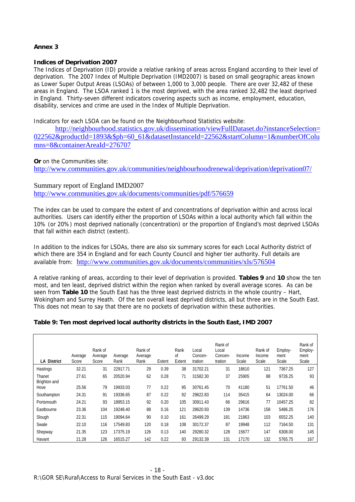## **Annex 3**

## **Indices of Deprivation 2007**

The Indices of Deprivation (ID) provide a relative ranking of areas across England according to their level of deprivation. The 2007 Index of Multiple Deprivation (IMD2007) is based on small geographic areas known as Lower Super Output Areas (LSOAs) of between 1,000 to 3,000 people. There are over 32,482 of these areas in England. The LSOA ranked 1 is the most deprived, with the area ranked 32,482 the least deprived in England. Thirty-seven different indicators covering aspects such as income, employment, education, disability, services and crime are used in the Index of Multiple Deprivation.

Indicators for each LSOA can be found on the Neighbourhood Statistics website:

http://neighbourhood.statistics.gov.uk/dissemination/viewFullDataset.do?instanceSelection= 022562&productId=1893&\$ph=60\_61&datasetInstanceId=22562&startColumn=1&numberOfColu mns=8&containerAreaId=276707

**Or** on the Communities site:

http://www.communities.gov.uk/communities/neighbourhoodrenewal/deprivation/deprivation07/

## Summary report of England IMD2007

http://www.communities.gov.uk/documents/communities/pdf/576659

The index can be used to compare the extent of and concentrations of deprivation within and across local authorities. Users can identify either the proportion of LSOAs within a local authority which fall within the 10% (or 20%) most deprived nationally (concentration) or the proportion of England's most deprived LSOAs that fall within each district (extent).

In addition to the indices for LSOAs, there are also six summary scores for each Local Authority district of which there are 354 in England and for each County Council and higher tier authority. Full details are available from: http://www.communities.gov.uk/documents/communities/xls/576504

A relative ranking of areas, according to their level of deprivation is provided. **Tables 9** and **10** show the ten most, and ten least, deprived district within the region when ranked by overall average scores. As can be seen from **Table 10** the South East has the three least deprived districts in the whole country – Hart, Wokingham and Surrey Heath. Of the ten overall least deprived districts, all but three are in the South East. This does not mean to say that there are no pockets of deprivation within these authorities.

## **Table 9: Ten most deprived local authority districts in the South East, IMD 2007**

| <b>LA District</b>     | Average<br>Score | Rank of<br>Average<br>Score | Average<br>Rank | Rank of<br>Average<br>Rank | Extent | Rank<br><sub>of</sub><br>Extent | Local<br>Concen-<br>tration | Rank of<br>Local<br>Concen-<br>tration | Income<br>Scale | Rank of<br>Income<br>Scale | Employ-<br>ment<br>Scale | Rank of<br>Employ-<br>ment<br>Scale |
|------------------------|------------------|-----------------------------|-----------------|----------------------------|--------|---------------------------------|-----------------------------|----------------------------------------|-----------------|----------------------------|--------------------------|-------------------------------------|
| Hastings               | 32.21            | 31                          | 22917.71        | 29                         | 0.39   | 38                              | 31702.21                    | 31                                     | 18610           | 121                        | 7367.25                  | 127                                 |
| Thanet<br>Brighton and | 27.61            | 65                          | 20520.94        | 62                         | 0.28   | 71                              | 31582.30                    | 37                                     | 25905           | 88                         | 9726.25                  | 93                                  |
| Hove                   | 25.56            | 79                          | 19933.03        | 77                         | 0.22   | 95                              | 30761.45                    | 70                                     | 41180           | 51                         | 17761.50                 | 46                                  |
| Southampton            | 24.31            | 91                          | 19336.65        | 87                         | 0.22   | 92                              | 29622.83                    | 114                                    | 35415           | 64                         | 13024.00                 | 66                                  |
| Portsmouth             | 24.21            | 93                          | 18953.15        | 92                         | 0.20   | 105                             | 30911.43                    | 66                                     | 29616           | 77                         | 10457.25                 | 82                                  |
| Eastbourne             | 23.36            | 104                         | 19248.40        | 88                         | 0.16   | 121                             | 28620.93                    | 139                                    | 14736           | 158                        | 5486.25                  | 176                                 |
| Slough                 | 22.31            | 115                         | 19094.64        | 90                         | 0.10   | 161                             | 26499.29                    | 181                                    | 21863           | 103                        | 6552.25                  | 140                                 |
| Swale                  | 22.10            | 116                         | 17549.83        | 120                        | 0.18   | 108                             | 30172.37                    | 87                                     | 19948           | 112                        | 7164.50                  | 131                                 |
| Shepway                | 21.35            | 123                         | 17375.19        | 126                        | 0.13   | 140                             | 29280.32                    | 128                                    | 15677           | 147                        | 6308.00                  | 145                                 |
| Havant                 | 21.28            | 126                         | 16515.27        | 142                        | 0.22   | 93                              | 29132.39                    | 131                                    | 17170           | 132                        | 5765.75                  | 167                                 |